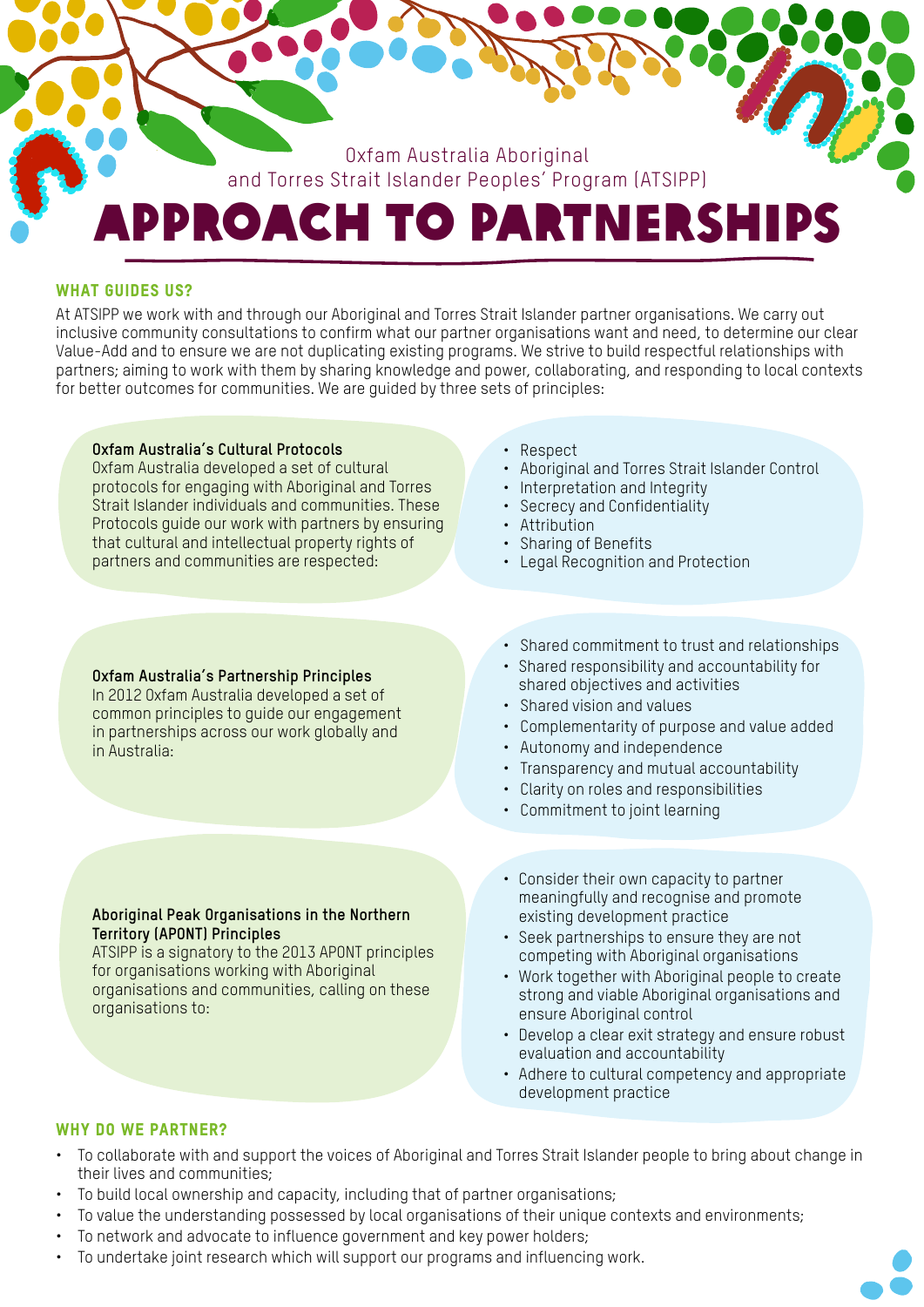

## WHAT GUIDES US?

At ATSIPP we work with and through our Aboriginal and Torres Strait Islander partner organisations. We carry out inclusive community consultations to confirm what our partner organisations want and need, to determine our clear Value-Add and to ensure we are not duplicating existing programs. We strive to build respectful relationships with partners; aiming to work with them by sharing knowledge and power, collaborating, and responding to local contexts for better outcomes for communities. We are guided by three sets of principles:

#### **Oxfam Australia's Cultural Protocols**

Oxfam Australia developed a set of cultural protocols for engaging with Aboriginal and Torres Strait Islander individuals and communities. These Protocols guide our work with partners by ensuring that cultural and intellectual property rights of partners and communities are respected:

- Respect
- Aboriginal and Torres Strait Islander Control
- Interpretation and Integrity
- Secrecy and Confidentiality
- Attribution
- Sharing of Benefits
- Legal Recognition and Protection

#### **Oxfam Australia's Partnership Principles**

In 2012 Oxfam Australia developed a set of common principles to guide our engagement in partnerships across our work globally and in Australia:

**Aboriginal Peak Organisations in the Northern Territory (APONT) Principles**

ATSIPP is a signatory to the 2013 APONT principles for organisations working with Aboriginal organisations and communities, calling on these organisations to:

- Shared commitment to trust and relationships
- Shared responsibility and accountability for shared objectives and activities
- Shared vision and values
- Complementarity of purpose and value added
- Autonomy and independence
- Transparency and mutual accountability
- Clarity on roles and responsibilities
- Commitment to joint learning
- Consider their own capacity to partner meaningfully and recognise and promote existing development practice
- Seek partnerships to ensure they are not competing with Aboriginal organisations
- Work together with Aboriginal people to create strong and viable Aboriginal organisations and ensure Aboriginal control
- Develop a clear exit strategy and ensure robust evaluation and accountability
- Adhere to cultural competency and appropriate development practice

### WHY DO WE PARTNER?

- To collaborate with and support the voices of Aboriginal and Torres Strait Islander people to bring about change in their lives and communities;
- To build local ownership and capacity, including that of partner organisations;
- To value the understanding possessed by local organisations of their unique contexts and environments;
- To network and advocate to influence government and key power holders;
- To undertake joint research which will support our programs and influencing work.